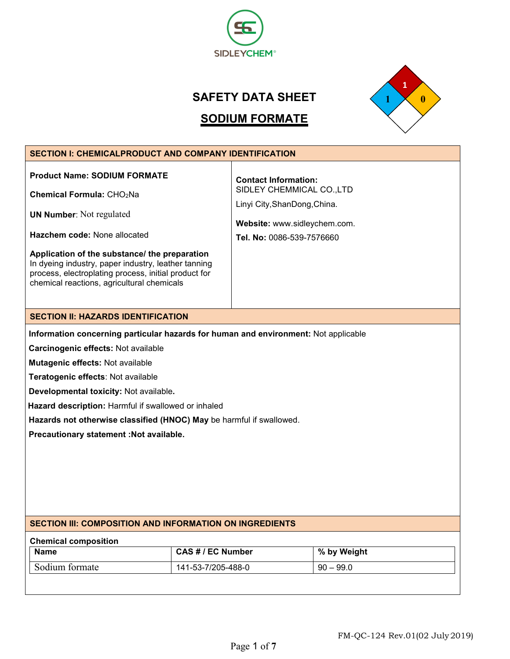

# **SAFETY DATA SHEET SODIUM FORMATE**

# **SECTION I: CHEMICALPRODUCT AND COMPANY IDENTIFICATION Product Name: SODIUM FORMATE Chemical Formula:** CHO2Na **UN Number**: Not regulated **Hazchem code:** None allocated **Application of the substance/ the preparation** In dyeing industry, paper industry, leather tanning process, electroplating process, initial product for chemical reactions, agricultural chemicals **Contact Information:** SIDLEY CHEMMICAL CO.,LTD Linyi City,ShanDong,China. **Website:** [www.sidleychem.com.](http://www.chemanol.com/) **Tel. No:** 0086-539-7576660 **SECTION II: HAZARDS IDENTIFICATION Information concerning particular hazards for human and environment:** Not applicable **Carcinogenic effects:** Not available **Mutagenic effects:** Not available **Teratogenic effects**: Not available **Developmental toxicity:** Not available**. Hazard description:** Harmful if swallowed or inhaled **Hazards not otherwise classified (HNOC) May** be harmful if swallowed. **Precautionary statement :Not available. SECTION III: COMPOSITION AND INFORMATION ON INGREDIENTS Chemical composition Name CAS # / EC Number % by Weight** Sodium formate 141-53-7/205-488-0 90 – 99.0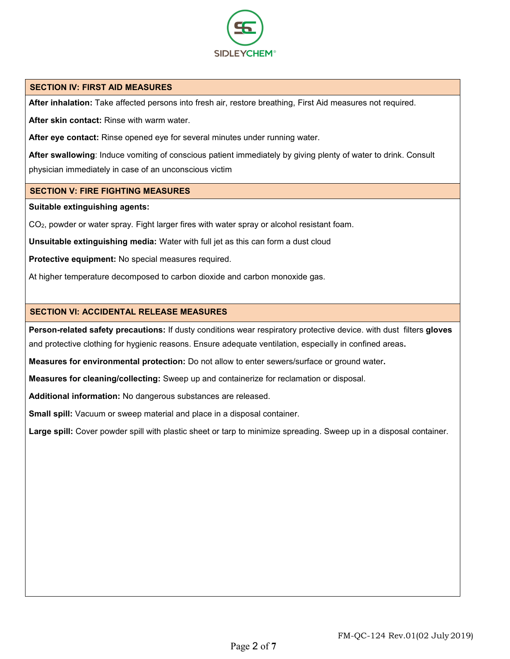

#### **SECTION IV: FIRST AID MEASURES**

**After inhalation:** Take affected persons into fresh air, restore breathing, First Aid measures not required.

**After skin contact:** Rinse with warm water.

**After eye contact:**Rinse opened eye for several minutes under running water.

**After swallowing**: Induce vomiting of conscious patient immediately by giving plenty of water to drink. Consult physician immediately in case of an unconscious victim

#### **SECTION V: FIRE FIGHTING MEASURES**

**Suitable extinguishing agents:**

CO2, powder or water spray. Fight larger fires with water spray or alcohol resistant foam.

**Unsuitable extinguishing media:** Water with full jet as this can form a dustcloud

**Protective equipment:** No special measures required.<br>At higher temperature decomposed to carbon dioxide and carbon monoxide gas.

#### **SECTION VI: ACCIDENTAL RELEASE MEASURES**

**Person-related safety precautions:** If dusty conditions wear respiratory protective device. with dust filters **gloves** and protective clothing for hygienic reasons. Ensure adequate ventilation, especially in confined areas**.**

**Measures for environmental protection:** Do not allow to enter sewers/surface or ground water**.**

**Measures for cleaning/collecting:** Sweep up and containerize for reclamation or disposal.

**Additional information:** No dangerous substances are released.

**Small spill:** Vacuum or sweep material and place in a disposal container.

**Large spill:** Cover powder spill with plastic sheet or tarp to minimize spreading. Sweep up in a disposal container.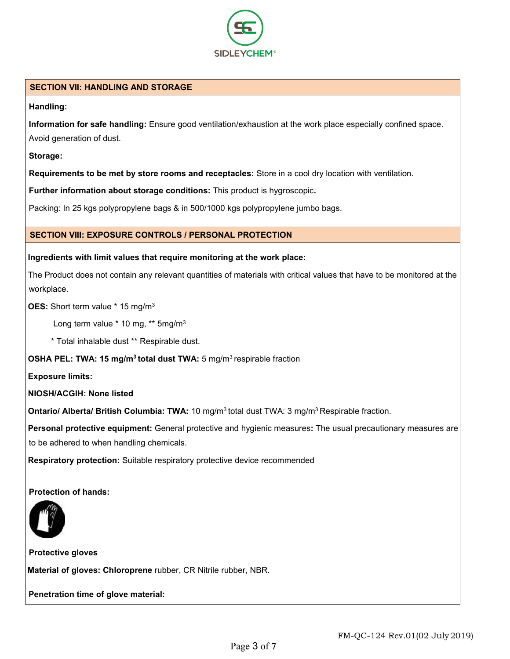

### **SECTION VII: HANDLING AND STORAGE**

**Handling:**

**Information for safe handling:** Ensure good ventilation/exhaustion at the work place especially confined space. Avoid generation of dust.

**Storage:**

**Requirements to be met by store rooms and receptacles:** Store in a cool dry location with ventilation.

**Further information about storage conditions:** This product is hygroscopic**.**

Packing: In 25 kgs polypropylene bags & in 500/1000 kgs polypropylene jumbo bags.

# **SECTION VIII: EXPOSURE CONTROLS / PERSONAL PROTECTION**

#### **Ingredients with limit values that require monitoring at the work place:**

The Product does not contain any relevant quantities of materials with critical values that have to be monitored at the workplace.

**OES:** Short term value \* 15 mg/m<sup>3</sup>

Long term value \* 10 mg, \*\* 5mg/m<sup>3</sup>

\* Total inhalable dust \*\* Respirable dust.

**OSHA PEL: TWA: 15 mg/m<sup>3</sup> total dust TWA:** 5 mg/m<sup>3</sup> respirable fraction

**Exposure limits:**

**NIOSH/ACGIH: None listed**

**Ontario/ Alberta/ British Columbia: TWA:** 10 mg/m<sup>3</sup> total dust TWA: 3 mg/m<sup>3</sup> Respirable fraction.

**Personal protective equipment:** General protective and hygienic measures**:** The usual precautionary measures are to be adhered to when handling chemicals.

**Respiratory protection:** Suitable respiratory protective device recommended

**Protection of hands:**



**Protective gloves**

**Material of gloves: Chloroprene** rubber, CR Nitrile rubber, NBR.

**Penetration time of glove material:**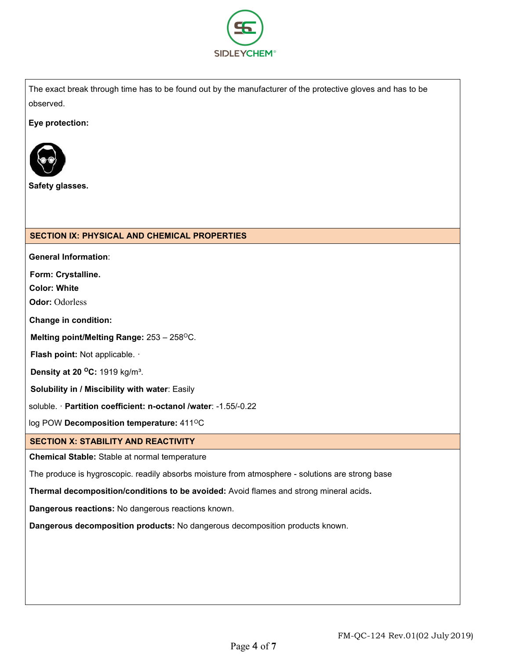

The exact break through time has to be found out by the manufacturer ofthe protective gloves and has to be observed.

**Eye protection:**



**Safety glasses.**

# **SECTION IX: PHYSICAL AND CHEMICAL PROPERTIES**

**General Information**:

**Form: Crystalline.**

**Color: White**

**Odor:** Odorless

**Change in condition:**

**Melting point/Melting Range:** 253 – 258 <sup>O</sup>C.

**Flash point:** Not applicable. ·

**Density at 20 <sup>O</sup>C:** 1919 kg/m³.

**Solubility in / Miscibility with water**: Easily

soluble. · **Partition coefficient: n-octanol /water**: -1.55/-0.22

log POW **Decomposition temperature:** 411  $\circ$ C

# **SECTION X: STABILITY AND REACTIVITY**

**Chemical Stable:** Stable at normal temperature

The produce is hygroscopic. readily absorbs moisture from atmosphere - solutions are strong base

**Thermal decomposition/conditions to be avoided:** Avoid flames and strong mineral acids**.**

**Dangerous reactions:** No dangerous reactions known.

**Dangerous decomposition products:** No dangerous decomposition products known.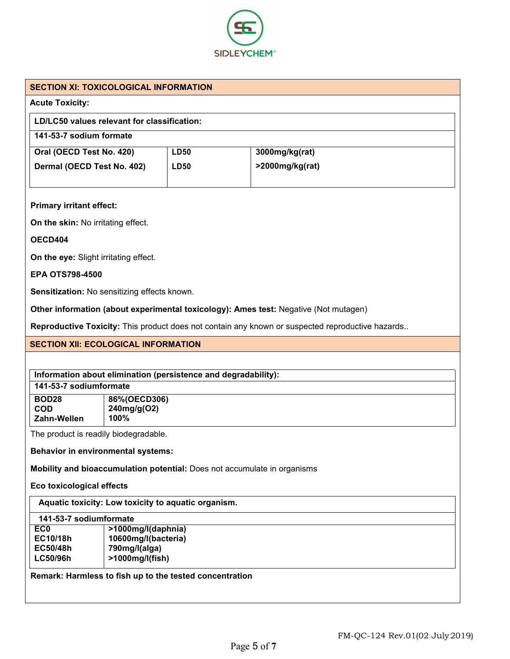

#### **SECTION XI: TOXICOLOGICAL INFORMATION**

#### **Acute Toxicity:**

# **LD/LC50 values relevant for classification:**

# **141-53-7 sodium formate**

| Oral (OECD Test No. 420)   | ∟D50 | $3000$ mg/kg(rat)  |
|----------------------------|------|--------------------|
| Dermal (OECD Test No. 402) | LD50 | $>$ 2000mg/kg(rat) |
|                            |      |                    |

**Primary irritant effect:**

**On the skin:** No irritating effect.

**OECD404**

**On the eye:** Slight irritating effect.

**EPA OTS798-4500**

**Sensitization:** No sensitizing effects known.

**Other information (about experimental toxicology): Ames test:** Negative (Not mutagen)

**Reproductive Toxicity:** This product does not contain any known or suspected reproductive hazards..

# **SECTION XII: ECOLOGICAL INFORMATION**

# **Information about elimination (persistence and degradability):**

# **141-53-7 sodiumformate**

| BOD28       | 86%(OECD306)        |
|-------------|---------------------|
| <b>COD</b>  | $\vert$ 240mg/g(O2) |
| Zahn-Wellen | $100\%$             |

The product is readily biodegradable.

**Behavior in environmental systems:**

**Mobility and bioaccumulation potential:** Does not accumulate in organisms

**Eco toxicological effects**

**Aquatic toxicity: Low toxicity to aquatic organism.**

# **141-53-7 sodiumformate**

| EC0      | >1000mg/l(daphnia)  |
|----------|---------------------|
| EC10/18h | 10600mg/l(bacteria) |
| EC50/48h | 790mg/l(alga)       |
| LC50/96h | $>1000$ mg/l(fish)  |

**Remark: Harmless to fish up to the tested concentration**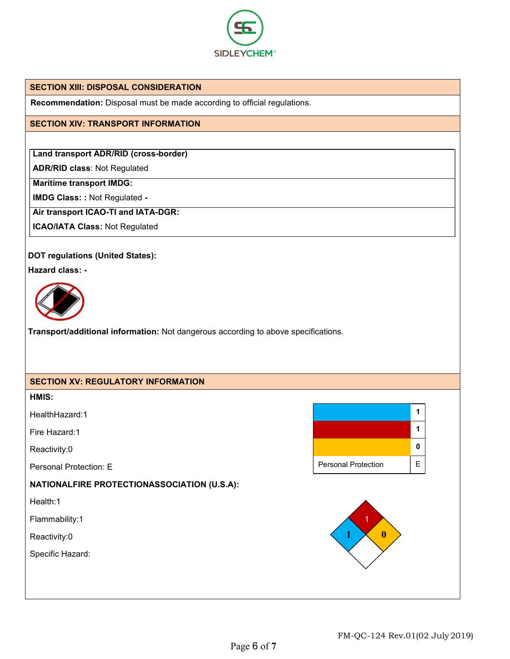

#### **SECTION XIII: DISPOSAL CONSIDERATION**

**Recommendation:** Disposal must be made according to official regulations.

### **SECTION XIV: TRANSPORT INFORMATION**

# **Land transport ADR/RID (cross-border)**

**ADR/RID class**: Not Regulated

**Maritime transport IMDG:**

**IMDG Class: :** Not Regulated **-**

**Air transport ICAO-TI and IATA-DGR:**

**ICAO/IATA Class:** Not Regulated

#### **DOT regulations (United States):**

**Hazard class: -**



**Transport/additional information:** Not dangerous according to above specifications.

# **SECTION XV: REGULATORY INFORMATION HMIS:** HealthHazard:1 Health Hazard **<sup>1</sup>** Fire Hazard:1 Fire Hazard **1** Reactivity:0 **Physical Hazard Association Control** Hazard Association Control Hazard Organization Control Hazard O Personal Protection: E Personal Protection E **NATIONALFIRE PROTECTIONASSOCIATION (U.S.A):** Health:1 Flammability:1 Reactivity:0 Specific Hazard:  $\sim$  1 **1 0**